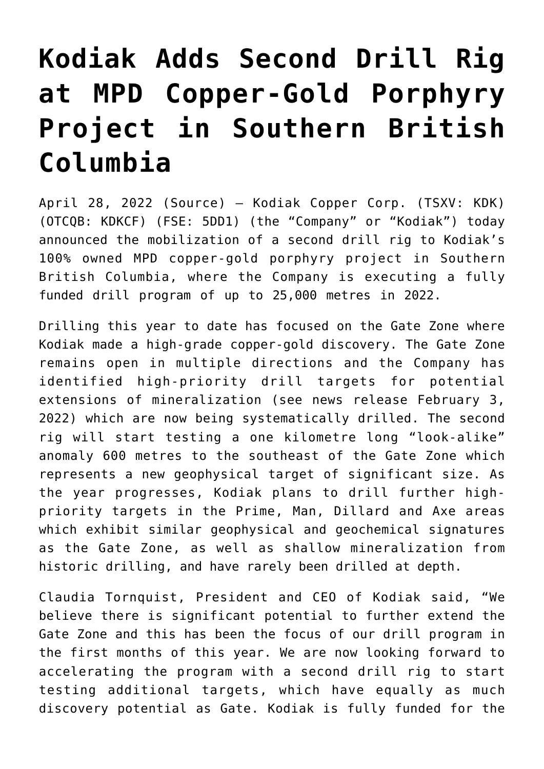## **[Kodiak Adds Second Drill Rig](https://investorintel.com/markets/technology-metals/technology-metals-news/kodiak-adds-second-drill-rig-at-mpd-copper-gold-porphyry-project-in-southern-british-columbia-2/) [at MPD Copper-Gold Porphyry](https://investorintel.com/markets/technology-metals/technology-metals-news/kodiak-adds-second-drill-rig-at-mpd-copper-gold-porphyry-project-in-southern-british-columbia-2/) [Project in Southern British](https://investorintel.com/markets/technology-metals/technology-metals-news/kodiak-adds-second-drill-rig-at-mpd-copper-gold-porphyry-project-in-southern-british-columbia-2/) [Columbia](https://investorintel.com/markets/technology-metals/technology-metals-news/kodiak-adds-second-drill-rig-at-mpd-copper-gold-porphyry-project-in-southern-british-columbia-2/)**

April 28, 2022 ([Source\)](https://www.newsfilecorp.com/release/121940/Kodiak-Adds-Second-Drill-Rig-at-MPD-CopperGold-Porphyry-Project-in-Southern-British-Columbia) – Kodiak Copper Corp. (TSXV: KDK) (OTCQB: KDKCF) (FSE: 5DD1) (the "Company" or "Kodiak") today announced the mobilization of a second drill rig to Kodiak's 100% owned MPD copper-gold porphyry project in Southern British Columbia, where the Company is executing a fully funded drill program of up to 25,000 metres in 2022.

Drilling this year to date has focused on the Gate Zone where Kodiak made a high-grade copper-gold discovery. The Gate Zone remains open in multiple directions and the Company has identified high-priority drill targets for potential extensions of mineralization ([see news release February 3,](https://www.newsfilecorp.com/redirect/PMjxQh7q8m) [2022](https://www.newsfilecorp.com/redirect/PMjxQh7q8m)) which are now being systematically drilled. The second rig will start testing a one kilometre long "look-alike" anomaly 600 metres to the southeast of the Gate Zone which represents a new geophysical target of significant size. As the year progresses, Kodiak plans to drill further highpriority targets in the Prime, Man, Dillard and Axe areas which exhibit similar geophysical and geochemical signatures as the Gate Zone, as well as shallow mineralization from historic drilling, and have rarely been drilled at depth.

Claudia Tornquist, President and CEO of Kodiak said, "We believe there is significant potential to further extend the Gate Zone and this has been the focus of our drill program in the first months of this year. We are now looking forward to accelerating the program with a second drill rig to start testing additional targets, which have equally as much discovery potential as Gate. Kodiak is fully funded for the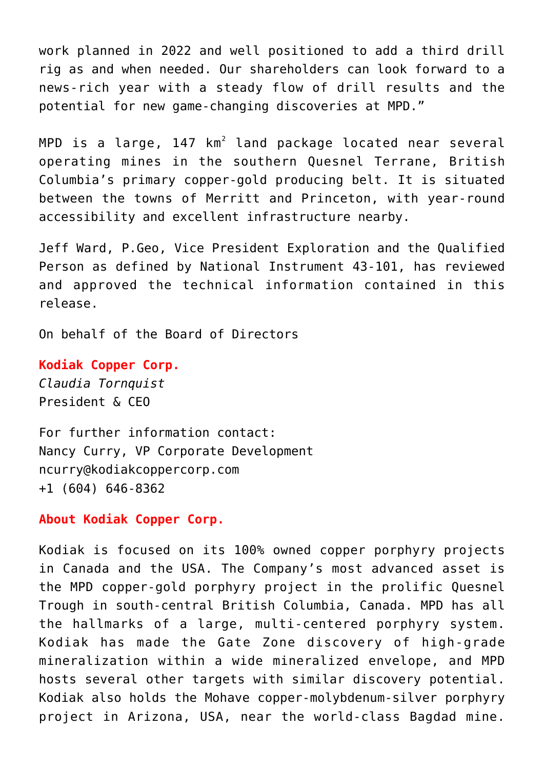work planned in 2022 and well positioned to add a third drill rig as and when needed. Our shareholders can look forward to a news-rich year with a steady flow of drill results and the potential for new game-changing discoveries at MPD."

<code>MPD</code> is a large, 147 km $^2$  land package located near several operating mines in the southern Quesnel Terrane, British Columbia's primary copper-gold producing belt. It is situated between the towns of Merritt and Princeton, with year-round accessibility and excellent infrastructure nearby.

Jeff Ward, P.Geo, Vice President Exploration and the Qualified Person as defined by National Instrument 43-101, has reviewed and approved the technical information contained in this release.

On behalf of the Board of Directors

**Kodiak Copper Corp.** *Claudia Tornquist* President & CEO

For further information contact: Nancy Curry, VP Corporate Development [ncurry@kodiakcoppercorp.com](mailto:ncurry@kodiakcoppercorp.com) +1 (604) 646-8362

**About Kodiak Copper Corp.**

Kodiak is focused on its 100% owned copper porphyry projects in Canada and the USA. The Company's most advanced asset is the MPD copper-gold porphyry project in the prolific Quesnel Trough in south-central British Columbia, Canada. MPD has all the hallmarks of a large, multi-centered porphyry system. Kodiak has made the Gate Zone discovery of high-grade mineralization within a wide mineralized envelope, and MPD hosts several other targets with similar discovery potential. Kodiak also holds the Mohave copper-molybdenum-silver porphyry project in Arizona, USA, near the world-class Bagdad mine.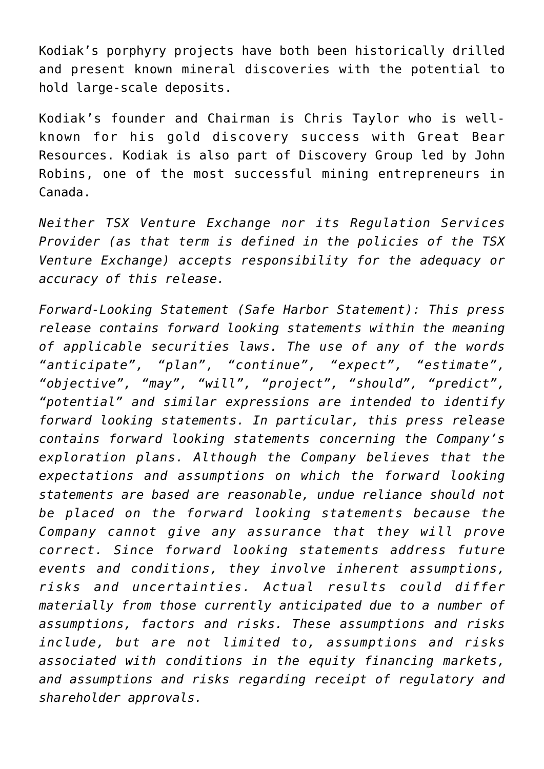Kodiak's porphyry projects have both been historically drilled and present known mineral discoveries with the potential to hold large-scale deposits.

Kodiak's founder and Chairman is Chris Taylor who is wellknown for his gold discovery success with Great Bear Resources. Kodiak is also part of Discovery Group led by John Robins, one of the most successful mining entrepreneurs in Canada.

*Neither TSX Venture Exchange nor its Regulation Services Provider (as that term is defined in the policies of the TSX Venture Exchange) accepts responsibility for the adequacy or accuracy of this release.*

*Forward-Looking Statement (Safe Harbor Statement): This press release contains forward looking statements within the meaning of applicable securities laws. The use of any of the words "anticipate", "plan", "continue", "expect", "estimate", "objective", "may", "will", "project", "should", "predict", "potential" and similar expressions are intended to identify forward looking statements. In particular, this press release contains forward looking statements concerning the Company's exploration plans. Although the Company believes that the expectations and assumptions on which the forward looking statements are based are reasonable, undue reliance should not be placed on the forward looking statements because the Company cannot give any assurance that they will prove correct. Since forward looking statements address future events and conditions, they involve inherent assumptions, risks and uncertainties. Actual results could differ materially from those currently anticipated due to a number of assumptions, factors and risks. These assumptions and risks include, but are not limited to, assumptions and risks associated with conditions in the equity financing markets, and assumptions and risks regarding receipt of regulatory and shareholder approvals.*